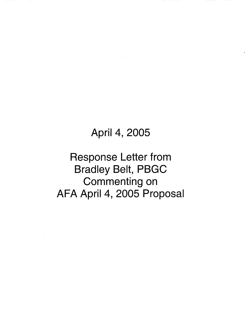## April 4, 2005

Response Letter from Bradley Belt, PBGC Commenting on AFA April 4, 2005 Proposal